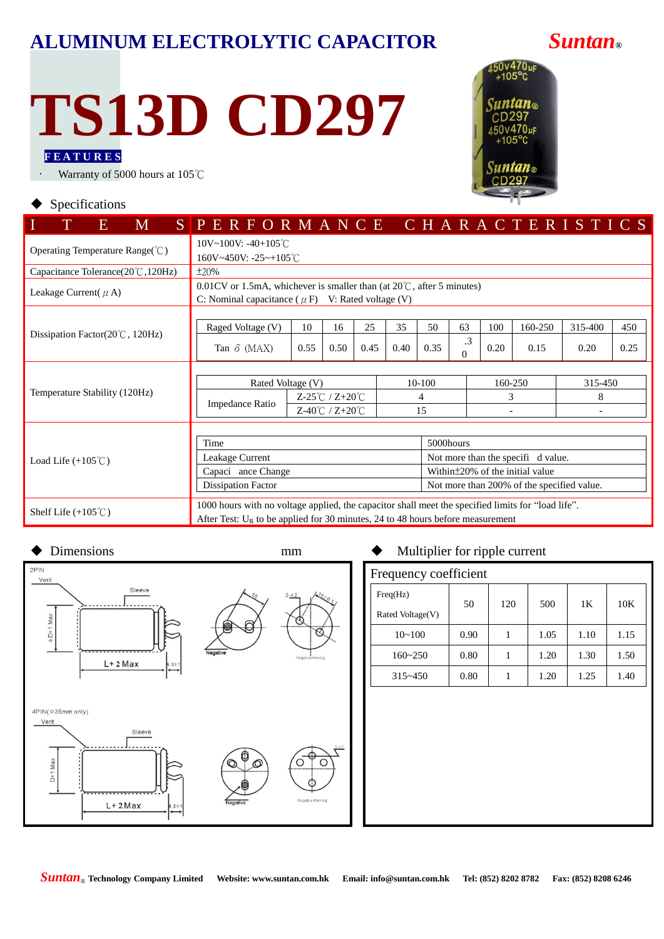### **ALUMINUM ELECTROLYTIC CAPACITOR** *Suntan***®**

# **TS13D CD297**

**F E A T U R E S**

Warranty of 5000 hours at 105℃

## 450v470uF Suntan $_{\tiny \textcircled{\tiny w}}$  $CD297$ 50v470uF

#### $\blacklozenge$  Specifications

| M<br>E.                                       | SPERFORMANCE CHARACTERISTICS                                                                       |               |                                                                                   |      |                                            |      |           |      |                    |         |      |  |  |  |
|-----------------------------------------------|----------------------------------------------------------------------------------------------------|---------------|-----------------------------------------------------------------------------------|------|--------------------------------------------|------|-----------|------|--------------------|---------|------|--|--|--|
|                                               | $10V \sim 100V$ : -40+105°C                                                                        |               |                                                                                   |      |                                            |      |           |      |                    |         |      |  |  |  |
| Operating Temperature Range( $\degree$ C)     | $160V - 450V$ : $-25 - +105^{\circ}$ C                                                             |               |                                                                                   |      |                                            |      |           |      |                    |         |      |  |  |  |
| Capacitance Tolerance( $20^{\circ}$ C, 120Hz) | $\pm 20\%$                                                                                         |               |                                                                                   |      |                                            |      |           |      |                    |         |      |  |  |  |
| Leakage Current( $\mu$ A)                     | $0.01$ CV or 1.5mA, whichever is smaller than (at $20^{\circ}$ C, after 5 minutes)                 |               |                                                                                   |      |                                            |      |           |      |                    |         |      |  |  |  |
|                                               | C: Nominal capacitance ( $\mu$ F) V: Rated voltage (V)                                             |               |                                                                                   |      |                                            |      |           |      |                    |         |      |  |  |  |
|                                               |                                                                                                    |               |                                                                                   |      |                                            |      |           |      |                    |         |      |  |  |  |
| Dissipation Factor( $20^{\circ}$ C, 120Hz)    | Raged Voltage (V)                                                                                  | 10            | 16                                                                                | 25   | 35                                         | 50   | 63        | 100  | 160-250            | 315-400 | 450  |  |  |  |
|                                               | Tan $\delta$ (MAX)                                                                                 | 0.55          | 0.50                                                                              | 0.45 | 0.40                                       | 0.35 | $\cdot$ 3 | 0.20 | 0.15               | 0.20    | 0.25 |  |  |  |
|                                               | $\Omega$                                                                                           |               |                                                                                   |      |                                            |      |           |      |                    |         |      |  |  |  |
|                                               | Rated Voltage (V)                                                                                  |               |                                                                                   |      |                                            |      |           |      | 160-250<br>315-450 |         |      |  |  |  |
| Temperature Stability (120Hz)                 |                                                                                                    |               |                                                                                   |      | $10-100$                                   |      |           |      |                    | 8       |      |  |  |  |
|                                               | Impedance Ratio                                                                                    | Z-25℃ / Z+20℃ |                                                                                   |      | 4                                          |      |           | 3    |                    |         |      |  |  |  |
|                                               |                                                                                                    |               | $Z-40^{\circ}C / Z+20^{\circ}C$                                                   |      |                                            | 15   |           |      |                    |         |      |  |  |  |
|                                               |                                                                                                    |               |                                                                                   |      |                                            |      |           |      |                    |         |      |  |  |  |
|                                               | Time                                                                                               |               |                                                                                   |      | 5000hours                                  |      |           |      |                    |         |      |  |  |  |
| Load Life $(+105^{\circ}$ C)                  | Leakage Current                                                                                    |               |                                                                                   |      | Not more than the specifi d value.         |      |           |      |                    |         |      |  |  |  |
|                                               | Capaci ance Change                                                                                 |               |                                                                                   |      | Within ± 20% of the initial value          |      |           |      |                    |         |      |  |  |  |
|                                               | <b>Dissipation Factor</b>                                                                          |               |                                                                                   |      | Not more than 200% of the specified value. |      |           |      |                    |         |      |  |  |  |
|                                               | 1000 hours with no voltage applied, the capacitor shall meet the specified limits for "load life". |               |                                                                                   |      |                                            |      |           |      |                    |         |      |  |  |  |
| Shelf Life $(+105^{\circ}\text{C})$           |                                                                                                    |               | After Test: $U_R$ to be applied for 30 minutes, 24 to 48 hours before measurement |      |                                            |      |           |      |                    |         |      |  |  |  |



### Dimensions mm  $\bullet$  Multiplier for ripple current

|                       | . .  |     |      |      |      |  |  |  |  |  |  |  |
|-----------------------|------|-----|------|------|------|--|--|--|--|--|--|--|
| Frequency coefficient |      |     |      |      |      |  |  |  |  |  |  |  |
| Freq(Hz)              | 50   | 120 | 500  | 1K   | 10K  |  |  |  |  |  |  |  |
| Rated Voltage(V)      |      |     |      |      |      |  |  |  |  |  |  |  |
| $10 - 100$            | 0.90 |     | 1.05 | 1.10 | 1.15 |  |  |  |  |  |  |  |
| $160 - 250$           | 0.80 |     | 1.20 | 1.30 | 1.50 |  |  |  |  |  |  |  |
| $315 - 450$           | 0.80 |     | 1.20 | 1.25 | 1.40 |  |  |  |  |  |  |  |
|                       |      |     |      |      |      |  |  |  |  |  |  |  |